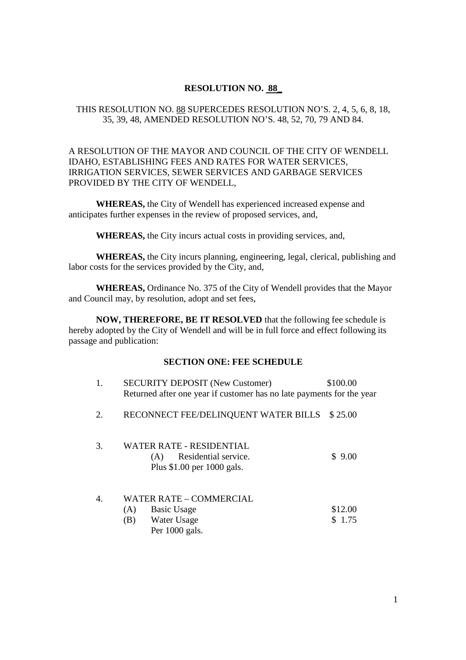# **RESOLUTION NO. 88\_**

# THIS RESOLUTION NO. 88 SUPERCEDES RESOLUTION NO'S. 2, 4, 5, 6, 8, 18, 35, 39, 48, AMENDED RESOLUTION NO'S. 48, 52, 70, 79 AND 84.

# A RESOLUTION OF THE MAYOR AND COUNCIL OF THE CITY OF WENDELL IDAHO, ESTABLISHING FEES AND RATES FOR WATER SERVICES, IRRIGATION SERVICES, SEWER SERVICES AND GARBAGE SERVICES PROVIDED BY THE CITY OF WENDELL,

**WHEREAS,** the City of Wendell has experienced increased expense and anticipates further expenses in the review of proposed services, and,

**WHEREAS,** the City incurs actual costs in providing services, and,

**WHEREAS,** the City incurs planning, engineering, legal, clerical, publishing and labor costs for the services provided by the City, and,

**WHEREAS,** Ordinance No. 375 of the City of Wendell provides that the Mayor and Council may, by resolution, adopt and set fees,

**NOW, THEREFORE, BE IT RESOLVED** that the following fee schedule is hereby adopted by the City of Wendell and will be in full force and effect following its passage and publication:

#### **SECTION ONE: FEE SCHEDULE**

| 1. | <b>SECURITY DEPOSIT (New Customer)</b><br>Returned after one year if customer has no late payments for the year | \$100.00          |
|----|-----------------------------------------------------------------------------------------------------------------|-------------------|
| 2. | RECONNECT FEE/DELINQUENT WATER BILLS                                                                            | \$25.00           |
| 3. | <b>WATER RATE - RESIDENTIAL</b><br>Residential service.<br>(A)<br>Plus $$1.00$ per 1000 gals.                   | \$9.00            |
| 4. | WATER RATE – COMMERCIAL<br>(A)<br><b>Basic Usage</b><br>(B)<br>Water Usage<br>Per 1000 gals.                    | \$12.00<br>\$1.75 |